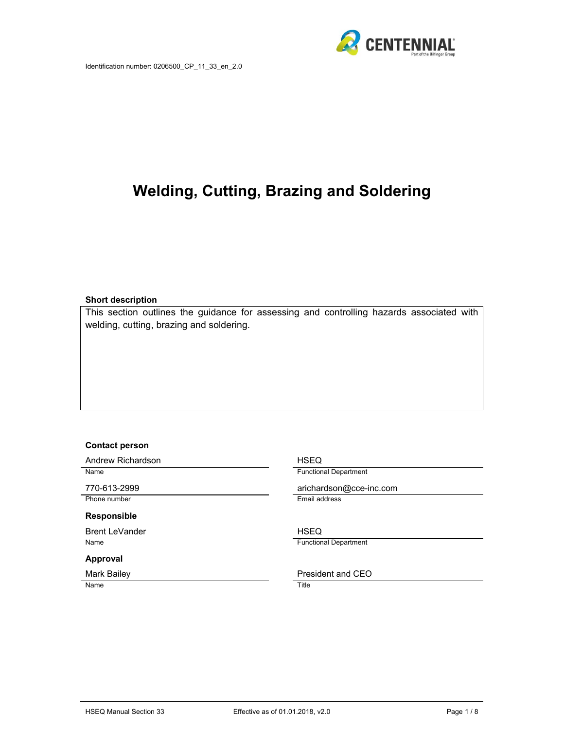

# **Welding, Cutting, Brazing and Soldering**

#### **Short description**

This section outlines the guidance for assessing and controlling hazards associated with welding, cutting, brazing and soldering.

#### **Contact person**

Andrew Richardson **HSEQ** Name Functional Department

Phone number **Email address** 

#### **Responsible**

Brent LeVander Note and The HSEQ Name Functional Department

#### **Approval**

Name Title

770-613-2999 arichardson@cce-inc.com

Mark Bailey **President and CEO**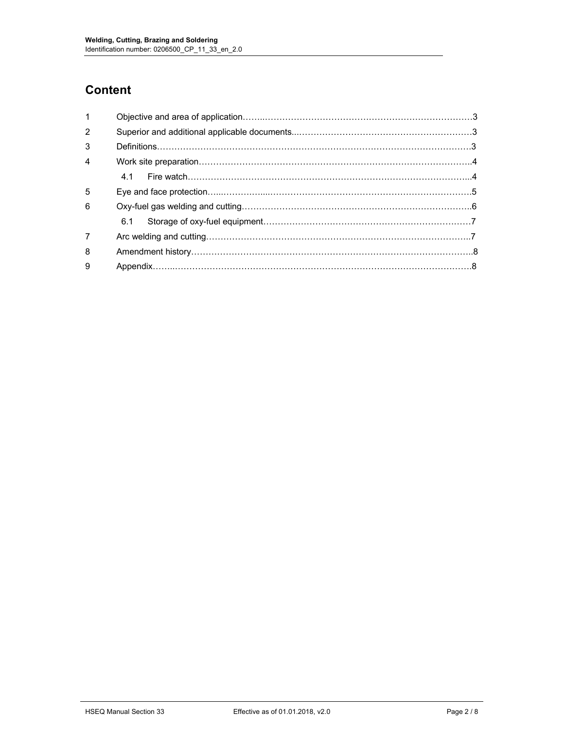## **Content**

| $\mathbf{1}$   |  |  |  |
|----------------|--|--|--|
| 2              |  |  |  |
| 3              |  |  |  |
| $\overline{4}$ |  |  |  |
|                |  |  |  |
| 5              |  |  |  |
| 6              |  |  |  |
|                |  |  |  |
| $\overline{7}$ |  |  |  |
| 8              |  |  |  |
| 9              |  |  |  |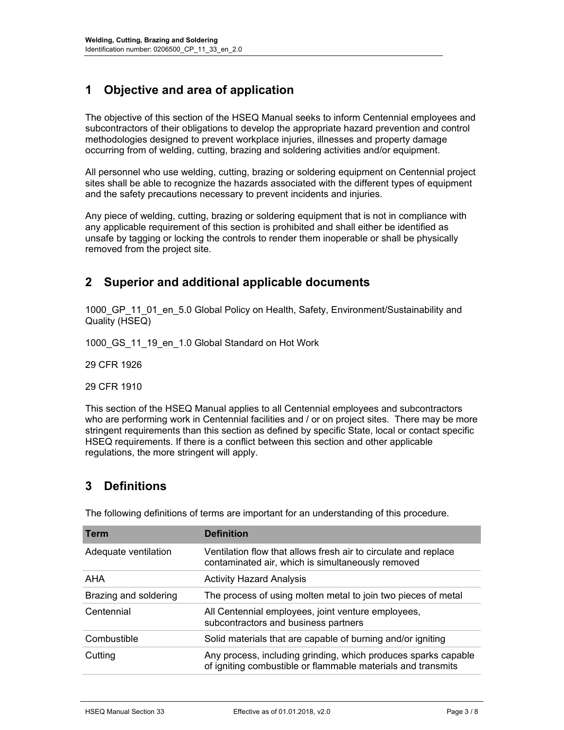## **1 Objective and area of application**

The objective of this section of the HSEQ Manual seeks to inform Centennial employees and subcontractors of their obligations to develop the appropriate hazard prevention and control methodologies designed to prevent workplace injuries, illnesses and property damage occurring from of welding, cutting, brazing and soldering activities and/or equipment.

All personnel who use welding, cutting, brazing or soldering equipment on Centennial project sites shall be able to recognize the hazards associated with the different types of equipment and the safety precautions necessary to prevent incidents and injuries.

Any piece of welding, cutting, brazing or soldering equipment that is not in compliance with any applicable requirement of this section is prohibited and shall either be identified as unsafe by tagging or locking the controls to render them inoperable or shall be physically removed from the project site.

### **2 Superior and additional applicable documents**

1000 GP 11 01 en 5.0 Global Policy on Health, Safety, Environment/Sustainability and Quality (HSEQ)

1000\_GS\_11\_19\_en\_1.0 Global Standard on Hot Work

29 CFR 1926

29 CFR 1910

This section of the HSEQ Manual applies to all Centennial employees and subcontractors who are performing work in Centennial facilities and / or on project sites. There may be more stringent requirements than this section as defined by specific State, local or contact specific HSEQ requirements. If there is a conflict between this section and other applicable regulations, the more stringent will apply.

### **3 Definitions**

| <b>Term</b>           | <b>Definition</b>                                                                                                              |
|-----------------------|--------------------------------------------------------------------------------------------------------------------------------|
| Adequate ventilation  | Ventilation flow that allows fresh air to circulate and replace<br>contaminated air, which is simultaneously removed           |
| AHA                   | <b>Activity Hazard Analysis</b>                                                                                                |
| Brazing and soldering | The process of using molten metal to join two pieces of metal                                                                  |
| Centennial            | All Centennial employees, joint venture employees,<br>subcontractors and business partners                                     |
| Combustible           | Solid materials that are capable of burning and/or igniting                                                                    |
| Cutting               | Any process, including grinding, which produces sparks capable<br>of igniting combustible or flammable materials and transmits |
|                       |                                                                                                                                |

The following definitions of terms are important for an understanding of this procedure.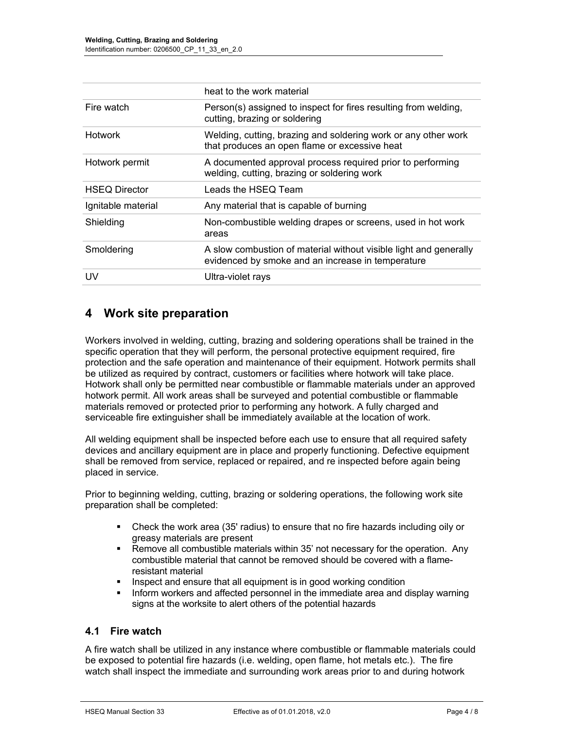|                      | heat to the work material                                                                                              |
|----------------------|------------------------------------------------------------------------------------------------------------------------|
| Fire watch           | Person(s) assigned to inspect for fires resulting from welding,<br>cutting, brazing or soldering                       |
| <b>Hotwork</b>       | Welding, cutting, brazing and soldering work or any other work<br>that produces an open flame or excessive heat        |
| Hotwork permit       | A documented approval process required prior to performing<br>welding, cutting, brazing or soldering work              |
| <b>HSEQ Director</b> | Leads the HSEQ Team                                                                                                    |
| Ignitable material   | Any material that is capable of burning                                                                                |
| Shielding            | Non-combustible welding drapes or screens, used in hot work<br>areas                                                   |
| Smoldering           | A slow combustion of material without visible light and generally<br>evidenced by smoke and an increase in temperature |
| UV                   | Ultra-violet rays                                                                                                      |

### **4 Work site preparation**

Workers involved in welding, cutting, brazing and soldering operations shall be trained in the specific operation that they will perform, the personal protective equipment required, fire protection and the safe operation and maintenance of their equipment. Hotwork permits shall be utilized as required by contract, customers or facilities where hotwork will take place. Hotwork shall only be permitted near combustible or flammable materials under an approved hotwork permit. All work areas shall be surveyed and potential combustible or flammable materials removed or protected prior to performing any hotwork. A fully charged and serviceable fire extinguisher shall be immediately available at the location of work.

All welding equipment shall be inspected before each use to ensure that all required safety devices and ancillary equipment are in place and properly functioning. Defective equipment shall be removed from service, replaced or repaired, and re inspected before again being placed in service.

Prior to beginning welding, cutting, brazing or soldering operations, the following work site preparation shall be completed:

- Check the work area (35' radius) to ensure that no fire hazards including oily or greasy materials are present
- Remove all combustible materials within 35' not necessary for the operation. Any combustible material that cannot be removed should be covered with a flameresistant material
- **I** Inspect and ensure that all equipment is in good working condition
- Inform workers and affected personnel in the immediate area and display warning signs at the worksite to alert others of the potential hazards

#### **4.1 Fire watch**

A fire watch shall be utilized in any instance where combustible or flammable materials could be exposed to potential fire hazards (i.e. welding, open flame, hot metals etc.). The fire watch shall inspect the immediate and surrounding work areas prior to and during hotwork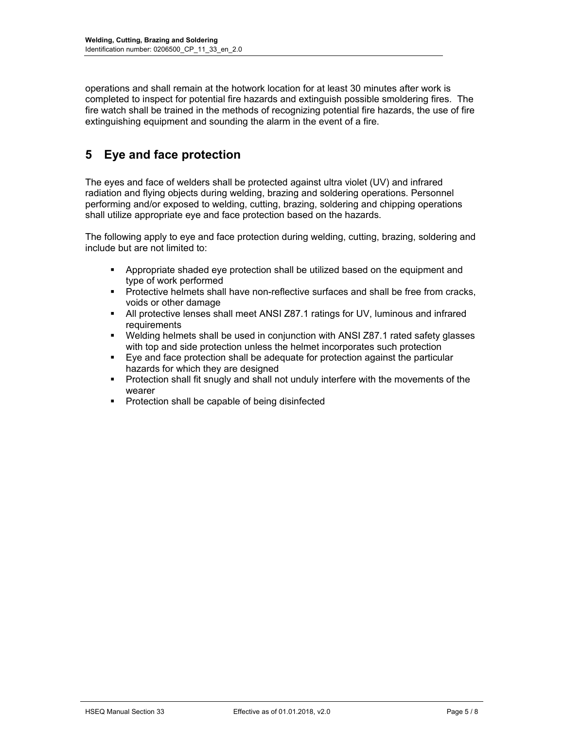operations and shall remain at the hotwork location for at least 30 minutes after work is completed to inspect for potential fire hazards and extinguish possible smoldering fires. The fire watch shall be trained in the methods of recognizing potential fire hazards, the use of fire extinguishing equipment and sounding the alarm in the event of a fire.

### **5 Eye and face protection**

The eyes and face of welders shall be protected against ultra violet (UV) and infrared radiation and flying objects during welding, brazing and soldering operations. Personnel performing and/or exposed to welding, cutting, brazing, soldering and chipping operations shall utilize appropriate eye and face protection based on the hazards.

The following apply to eye and face protection during welding, cutting, brazing, soldering and include but are not limited to:

- Appropriate shaded eye protection shall be utilized based on the equipment and type of work performed
- **Protective helmets shall have non-reflective surfaces and shall be free from cracks,** voids or other damage
- All protective lenses shall meet ANSI Z87.1 ratings for UV, luminous and infrared requirements
- Welding helmets shall be used in conjunction with ANSI Z87.1 rated safety glasses with top and side protection unless the helmet incorporates such protection
- Eye and face protection shall be adequate for protection against the particular hazards for which they are designed
- Protection shall fit snugly and shall not unduly interfere with the movements of the wearer
- **Protection shall be capable of being disinfected**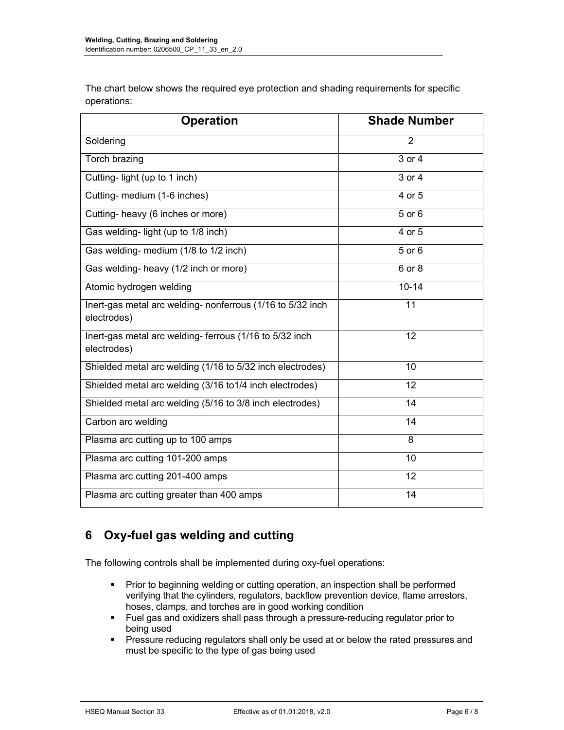The chart below shows the required eye protection and shading requirements for specific operations:

| <b>Operation</b>                                                          | <b>Shade Number</b> |
|---------------------------------------------------------------------------|---------------------|
| Soldering                                                                 | $\overline{2}$      |
| Torch brazing                                                             | 3 or 4              |
| Cutting-light (up to 1 inch)                                              | 3 or 4              |
| Cutting- medium (1-6 inches)                                              | 4 or 5              |
| Cutting- heavy (6 inches or more)                                         | 5 or 6              |
| Gas welding-light (up to 1/8 inch)                                        | 4 or 5              |
| Gas welding- medium (1/8 to 1/2 inch)                                     | 5 or 6              |
| Gas welding- heavy (1/2 inch or more)                                     | 6 or 8              |
| Atomic hydrogen welding                                                   | $10 - 14$           |
| Inert-gas metal arc welding- nonferrous (1/16 to 5/32 inch<br>electrodes) | $\overline{11}$     |
| Inert-gas metal arc welding- ferrous (1/16 to 5/32 inch<br>electrodes)    | 12                  |
| Shielded metal arc welding (1/16 to 5/32 inch electrodes)                 | 10                  |
| Shielded metal arc welding (3/16 to 1/4 inch electrodes)                  | 12                  |
| Shielded metal arc welding (5/16 to 3/8 inch electrodes)                  | 14                  |
| Carbon arc welding                                                        | 14                  |
| Plasma arc cutting up to 100 amps                                         | 8                   |
| Plasma arc cutting 101-200 amps                                           | 10                  |
| Plasma arc cutting 201-400 amps                                           | 12                  |
| Plasma arc cutting greater than 400 amps                                  | 14                  |

## **6 Oxy-fuel gas welding and cutting**

The following controls shall be implemented during oxy-fuel operations:

- **Prior to beginning welding or cutting operation, an inspection shall be performed** verifying that the cylinders, regulators, backflow prevention device, flame arrestors, hoses, clamps, and torches are in good working condition
- Fuel gas and oxidizers shall pass through a pressure-reducing regulator prior to being used
- **Pressure reducing regulators shall only be used at or below the rated pressures and** must be specific to the type of gas being used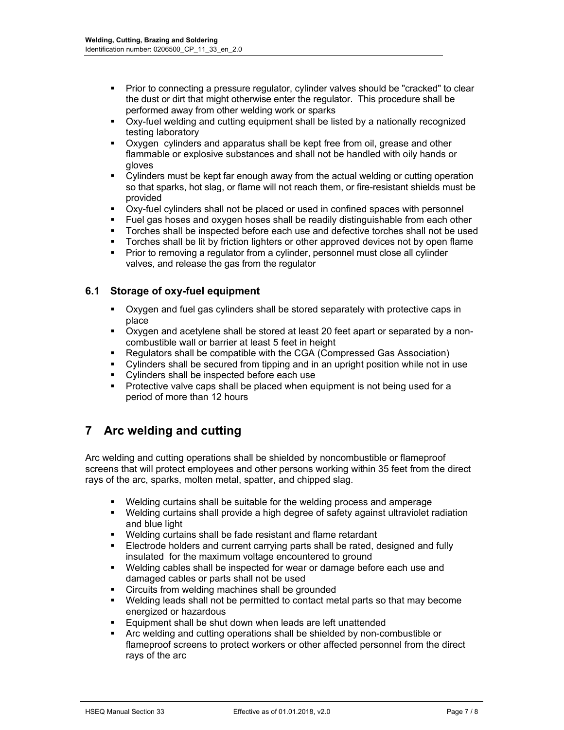- **Prior to connecting a pressure regulator, cylinder valves should be "cracked" to clear** the dust or dirt that might otherwise enter the regulator. This procedure shall be performed away from other welding work or sparks
- Oxy-fuel welding and cutting equipment shall be listed by a nationally recognized testing laboratory
- Oxygen cylinders and apparatus shall be kept free from oil, grease and other flammable or explosive substances and shall not be handled with oily hands or gloves
- Cylinders must be kept far enough away from the actual welding or cutting operation so that sparks, hot slag, or flame will not reach them, or fire-resistant shields must be provided
- Oxy-fuel cylinders shall not be placed or used in confined spaces with personnel
- Fuel gas hoses and oxygen hoses shall be readily distinguishable from each other
- Torches shall be inspected before each use and defective torches shall not be used
- Torches shall be lit by friction lighters or other approved devices not by open flame
- Prior to removing a regulator from a cylinder, personnel must close all cylinder valves, and release the gas from the regulator

#### **6.1 Storage of oxy-fuel equipment**

- Oxygen and fuel gas cylinders shall be stored separately with protective caps in place
- Oxygen and acetylene shall be stored at least 20 feet apart or separated by a noncombustible wall or barrier at least 5 feet in height
- Regulators shall be compatible with the CGA (Compressed Gas Association)
- Cylinders shall be secured from tipping and in an upright position while not in use
- Cylinders shall be inspected before each use
- Protective valve caps shall be placed when equipment is not being used for a period of more than 12 hours

### **7 Arc welding and cutting**

Arc welding and cutting operations shall be shielded by noncombustible or flameproof screens that will protect employees and other persons working within 35 feet from the direct rays of the arc, sparks, molten metal, spatter, and chipped slag.

- Welding curtains shall be suitable for the welding process and amperage
- Welding curtains shall provide a high degree of safety against ultraviolet radiation and blue light
- Welding curtains shall be fade resistant and flame retardant
- **Electrode holders and current carrying parts shall be rated, designed and fully** insulated for the maximum voltage encountered to ground
- Welding cables shall be inspected for wear or damage before each use and damaged cables or parts shall not be used
- Circuits from welding machines shall be grounded
- Welding leads shall not be permitted to contact metal parts so that may become energized or hazardous
- Equipment shall be shut down when leads are left unattended
- Arc welding and cutting operations shall be shielded by non-combustible or flameproof screens to protect workers or other affected personnel from the direct rays of the arc